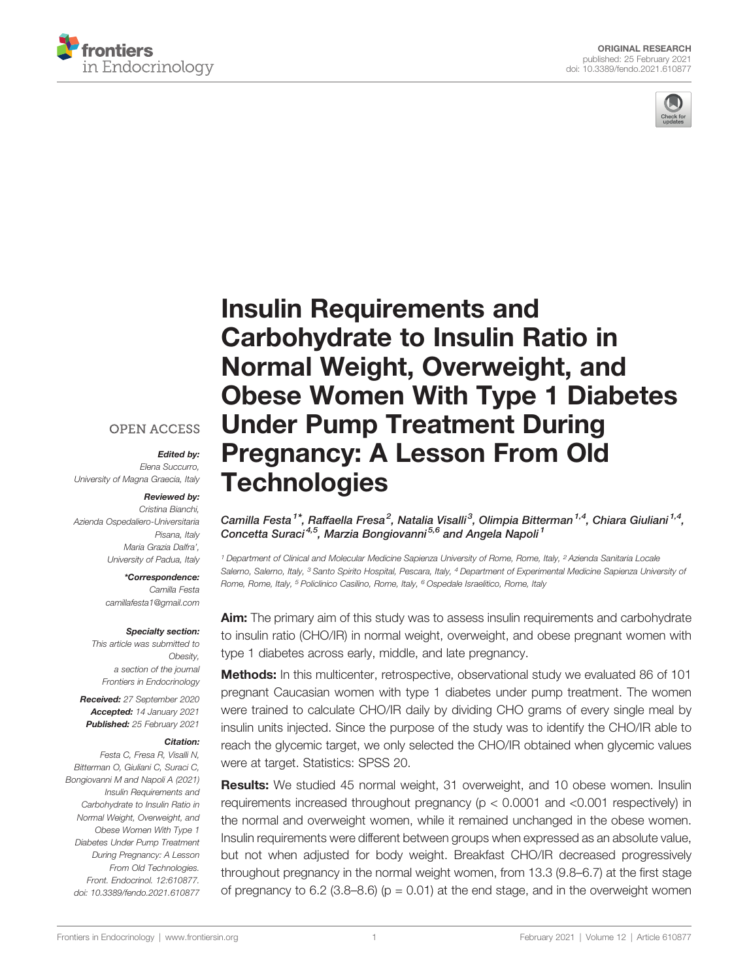



# [Insulin Requirements and](https://www.frontiersin.org/articles/10.3389/fendo.2021.610877/full) [Carbohydrate to Insulin Ratio in](https://www.frontiersin.org/articles/10.3389/fendo.2021.610877/full) [Normal Weight, Overweight, and](https://www.frontiersin.org/articles/10.3389/fendo.2021.610877/full) [Obese Women With Type 1 Diabetes](https://www.frontiersin.org/articles/10.3389/fendo.2021.610877/full) [Under Pump Treatment During](https://www.frontiersin.org/articles/10.3389/fendo.2021.610877/full) [Pregnancy: A Lesson From Old](https://www.frontiersin.org/articles/10.3389/fendo.2021.610877/full) **[Technologies](https://www.frontiersin.org/articles/10.3389/fendo.2021.610877/full)**

Camilla Festa<sup>1\*</sup>, Raffaella Fresa<sup>2</sup>, Natalia Visalli<sup>3</sup>, Olimpia Bitterman<sup>1,4</sup>, Chiara Giuliani<sup>1,4</sup>, Concetta Suraci<sup>4,5</sup>, Marzia Bongiovanni<sup>5,6</sup> and Angela Napoli<sup>1</sup>

<sup>1</sup> Department of Clinical and Molecular Medicine Sapienza University of Rome, Rome, Italy, <sup>2</sup> Azienda Sanitaria Locale Salerno, Salerno, Italy, <sup>3</sup> Santo Spirito Hospital, Pescara, Italy, <sup>4</sup> Department of Experimental Medicine Sapienza University of Rome, Rome, Italy, <sup>5</sup> Policlinico Casilino, Rome, Italy, <sup>6</sup> Ospedale Israelitico, Rome, Italy

Aim: The primary aim of this study was to assess insulin requirements and carbohydrate to insulin ratio (CHO/IR) in normal weight, overweight, and obese pregnant women with type 1 diabetes across early, middle, and late pregnancy.

**Methods:** In this multicenter, retrospective, observational study we evaluated 86 of 101 pregnant Caucasian women with type 1 diabetes under pump treatment. The women were trained to calculate CHO/IR daily by dividing CHO grams of every single meal by insulin units injected. Since the purpose of the study was to identify the CHO/IR able to reach the glycemic target, we only selected the CHO/IR obtained when glycemic values were at target. Statistics: SPSS 20.

Results: We studied 45 normal weight, 31 overweight, and 10 obese women. Insulin requirements increased throughout pregnancy (p < 0.0001 and <0.001 respectively) in the normal and overweight women, while it remained unchanged in the obese women. Insulin requirements were different between groups when expressed as an absolute value, but not when adjusted for body weight. Breakfast CHO/IR decreased progressively throughout pregnancy in the normal weight women, from 13.3 (9.8–6.7) at the first stage of pregnancy to 6.2 (3.8–8.6) ( $p = 0.01$ ) at the end stage, and in the overweight women

## **OPEN ACCESS**

#### Edited by:

Elena Succurro, University of Magna Graecia, Italy

#### Reviewed by:

Cristina Bianchi, Azienda Ospedaliero-Universitaria Pisana, Italy Maria Grazia Dalfra', University of Padua, Italy

\*Correspondence:

Camilla Festa [camillafesta1@gmail.com](mailto:camillafesta1@gmail.com)

#### Specialty section:

This article was submitted to Obesity, a section of the journal Frontiers in Endocrinology

Received: 27 September 2020 Accepted: 14 January 2021 Published: 25 February 2021

#### Citation:

Festa C, Fresa R, Visalli N, Bitterman O, Giuliani C, Suraci C, Bongiovanni M and Napoli A (2021) Insulin Requirements and Carbohydrate to Insulin Ratio in Normal Weight, Overweight, and Obese Women With Type 1 Diabetes Under Pump Treatment During Pregnancy: A Lesson From Old Technologies. Front. Endocrinol. 12:610877. [doi: 10.3389/fendo.2021.610877](https://doi.org/10.3389/fendo.2021.610877)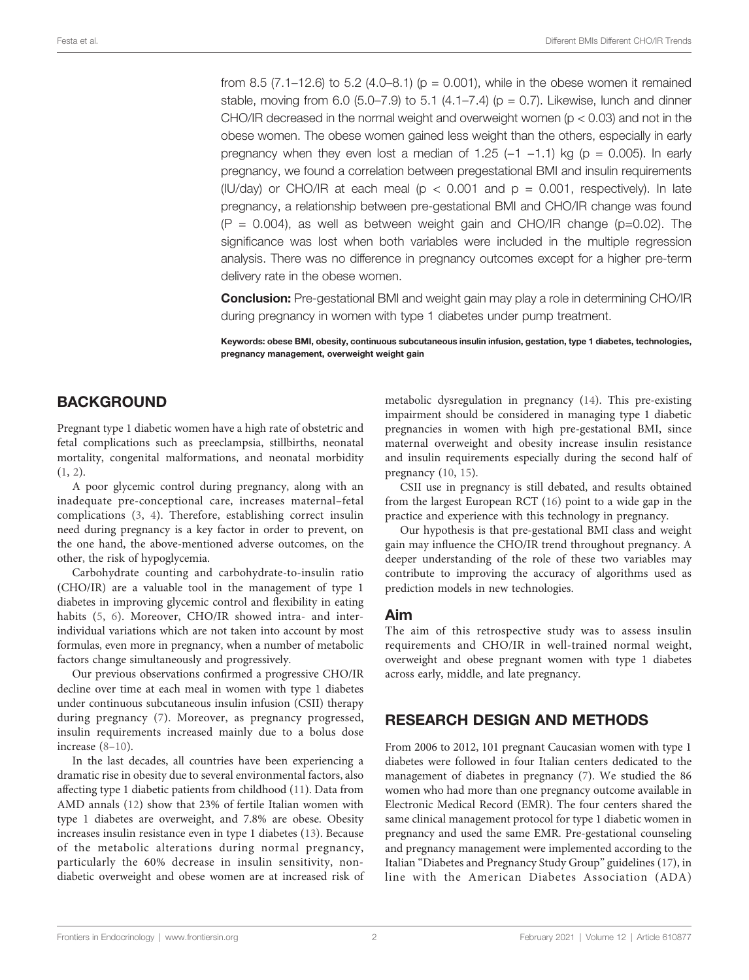from 8.5 (7.1–12.6) to 5.2 (4.0–8.1) ( $p = 0.001$ ), while in the obese women it remained stable, moving from 6.0 (5.0–7.9) to 5.1 (4.1–7.4) ( $p = 0.7$ ). Likewise, lunch and dinner CHO/IR decreased in the normal weight and overweight women ( $p < 0.03$ ) and not in the obese women. The obese women gained less weight than the others, especially in early pregnancy when they even lost a median of 1.25 ( $-1$  -1.1) kg ( $p = 0.005$ ). In early pregnancy, we found a correlation between pregestational BMI and insulin requirements (IU/day) or CHO/IR at each meal ( $p < 0.001$  and  $p = 0.001$ , respectively). In late pregnancy, a relationship between pre-gestational BMI and CHO/IR change was found  $(P = 0.004)$ , as well as between weight gain and CHO/IR change (p=0.02). The significance was lost when both variables were included in the multiple regression analysis. There was no difference in pregnancy outcomes except for a higher pre-term delivery rate in the obese women.

Conclusion: Pre-gestational BMI and weight gain may play a role in determining CHO/IR during pregnancy in women with type 1 diabetes under pump treatment.

Keywords: obese BMI, obesity, continuous subcutaneous insulin infusion, gestation, type 1 diabetes, technologies, pregnancy management, overweight weight gain

# **BACKGROUND**

Pregnant type 1 diabetic women have a high rate of obstetric and fetal complications such as preeclampsia, stillbirths, neonatal mortality, congenital malformations, and neonatal morbidity ([1](#page-7-0), [2\)](#page-7-0).

A poor glycemic control during pregnancy, along with an inadequate pre-conceptional care, increases maternal–fetal complications ([3,](#page-7-0) [4](#page-7-0)). Therefore, establishing correct insulin need during pregnancy is a key factor in order to prevent, on the one hand, the above-mentioned adverse outcomes, on the other, the risk of hypoglycemia.

Carbohydrate counting and carbohydrate-to-insulin ratio (CHO/IR) are a valuable tool in the management of type 1 diabetes in improving glycemic control and flexibility in eating habits ([5,](#page-7-0) [6](#page-7-0)). Moreover, CHO/IR showed intra- and interindividual variations which are not taken into account by most formulas, even more in pregnancy, when a number of metabolic factors change simultaneously and progressively.

Our previous observations confirmed a progressive CHO/IR decline over time at each meal in women with type 1 diabetes under continuous subcutaneous insulin infusion (CSII) therapy during pregnancy ([7](#page-7-0)). Moreover, as pregnancy progressed, insulin requirements increased mainly due to a bolus dose increase [\(8](#page-7-0)–[10\)](#page-7-0).

In the last decades, all countries have been experiencing a dramatic rise in obesity due to several environmental factors, also affecting type 1 diabetic patients from childhood [\(11](#page-7-0)). Data from AMD annals ([12\)](#page-7-0) show that 23% of fertile Italian women with type 1 diabetes are overweight, and 7.8% are obese. Obesity increases insulin resistance even in type 1 diabetes [\(13](#page-7-0)). Because of the metabolic alterations during normal pregnancy, particularly the 60% decrease in insulin sensitivity, nondiabetic overweight and obese women are at increased risk of metabolic dysregulation in pregnancy [\(14](#page-7-0)). This pre-existing impairment should be considered in managing type 1 diabetic pregnancies in women with high pre-gestational BMI, since maternal overweight and obesity increase insulin resistance and insulin requirements especially during the second half of pregnancy ([10,](#page-7-0) [15\)](#page-7-0).

CSII use in pregnancy is still debated, and results obtained from the largest European RCT [\(16](#page-8-0)) point to a wide gap in the practice and experience with this technology in pregnancy.

Our hypothesis is that pre-gestational BMI class and weight gain may influence the CHO/IR trend throughout pregnancy. A deeper understanding of the role of these two variables may contribute to improving the accuracy of algorithms used as prediction models in new technologies.

#### Aim

The aim of this retrospective study was to assess insulin requirements and CHO/IR in well-trained normal weight, overweight and obese pregnant women with type 1 diabetes across early, middle, and late pregnancy.

# RESEARCH DESIGN AND METHODS

From 2006 to 2012, 101 pregnant Caucasian women with type 1 diabetes were followed in four Italian centers dedicated to the management of diabetes in pregnancy ([7](#page-7-0)). We studied the 86 women who had more than one pregnancy outcome available in Electronic Medical Record (EMR). The four centers shared the same clinical management protocol for type 1 diabetic women in pregnancy and used the same EMR. Pre-gestational counseling and pregnancy management were implemented according to the Italian "Diabetes and Pregnancy Study Group" guidelines ([17](#page-8-0)), in line with the American Diabetes Association (ADA)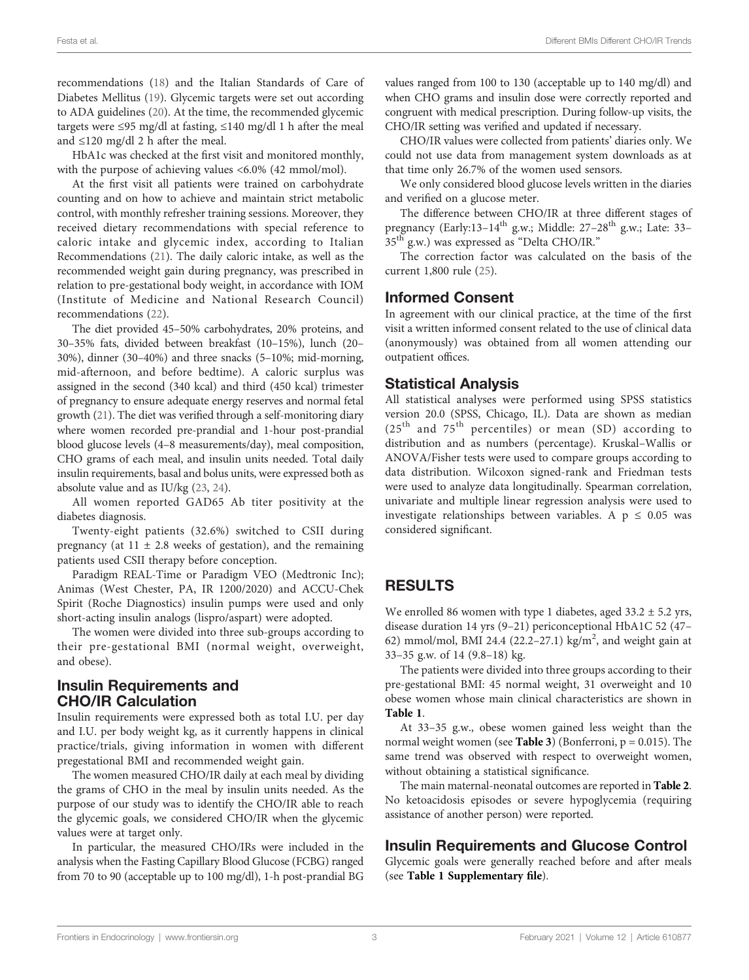recommendations [\(18](#page-8-0)) and the Italian Standards of Care of Diabetes Mellitus [\(19](#page-8-0)). Glycemic targets were set out according to ADA guidelines [\(20](#page-8-0)). At the time, the recommended glycemic targets were ≤95 mg/dl at fasting, ≤140 mg/dl 1 h after the meal and ≤120 mg/dl 2 h after the meal.

HbA1c was checked at the first visit and monitored monthly, with the purpose of achieving values <6.0% (42 mmol/mol).

At the first visit all patients were trained on carbohydrate counting and on how to achieve and maintain strict metabolic control, with monthly refresher training sessions. Moreover, they received dietary recommendations with special reference to caloric intake and glycemic index, according to Italian Recommendations ([21\)](#page-8-0). The daily caloric intake, as well as the recommended weight gain during pregnancy, was prescribed in relation to pre-gestational body weight, in accordance with IOM (Institute of Medicine and National Research Council) recommendations ([22](#page-8-0)).

The diet provided 45–50% carbohydrates, 20% proteins, and 30–35% fats, divided between breakfast (10–15%), lunch (20– 30%), dinner (30–40%) and three snacks (5–10%; mid-morning, mid-afternoon, and before bedtime). A caloric surplus was assigned in the second (340 kcal) and third (450 kcal) trimester of pregnancy to ensure adequate energy reserves and normal fetal growth [\(21](#page-8-0)). The diet was verified through a self-monitoring diary where women recorded pre-prandial and 1-hour post-prandial blood glucose levels (4–8 measurements/day), meal composition, CHO grams of each meal, and insulin units needed. Total daily insulin requirements, basal and bolus units, were expressed both as absolute value and as IU/kg ([23](#page-8-0), [24](#page-8-0)).

All women reported GAD65 Ab titer positivity at the diabetes diagnosis.

Twenty-eight patients (32.6%) switched to CSII during pregnancy (at  $11 \pm 2.8$  weeks of gestation), and the remaining patients used CSII therapy before conception.

Paradigm REAL-Time or Paradigm VEO (Medtronic Inc); Animas (West Chester, PA, IR 1200/2020) and ACCU-Chek Spirit (Roche Diagnostics) insulin pumps were used and only short-acting insulin analogs (lispro/aspart) were adopted.

The women were divided into three sub-groups according to their pre-gestational BMI (normal weight, overweight, and obese).

## Insulin Requirements and CHO/IR Calculation

Insulin requirements were expressed both as total I.U. per day and I.U. per body weight kg, as it currently happens in clinical practice/trials, giving information in women with different pregestational BMI and recommended weight gain.

The women measured CHO/IR daily at each meal by dividing the grams of CHO in the meal by insulin units needed. As the purpose of our study was to identify the CHO/IR able to reach the glycemic goals, we considered CHO/IR when the glycemic values were at target only.

In particular, the measured CHO/IRs were included in the analysis when the Fasting Capillary Blood Glucose (FCBG) ranged from 70 to 90 (acceptable up to 100 mg/dl), 1-h post-prandial BG values ranged from 100 to 130 (acceptable up to 140 mg/dl) and when CHO grams and insulin dose were correctly reported and congruent with medical prescription. During follow-up visits, the CHO/IR setting was verified and updated if necessary.

CHO/IR values were collected from patients' diaries only. We could not use data from management system downloads as at that time only 26.7% of the women used sensors.

We only considered blood glucose levels written in the diaries and verified on a glucose meter.

The difference between CHO/IR at three different stages of pregnancy (Early:13-14<sup>th</sup> g.w.; Middle: 27-28<sup>th</sup> g.w.; Late: 33-35<sup>th</sup> g.w.) was expressed as "Delta CHO/IR."

The correction factor was calculated on the basis of the current 1,800 rule ([25\)](#page-8-0).

### Informed Consent

In agreement with our clinical practice, at the time of the first visit a written informed consent related to the use of clinical data (anonymously) was obtained from all women attending our outpatient offices.

#### Statistical Analysis

All statistical analyses were performed using SPSS statistics version 20.0 (SPSS, Chicago, IL). Data are shown as median  $(25<sup>th</sup>$  and  $75<sup>th</sup>$  percentiles) or mean (SD) according to distribution and as numbers (percentage). Kruskal–Wallis or ANOVA/Fisher tests were used to compare groups according to data distribution. Wilcoxon signed-rank and Friedman tests were used to analyze data longitudinally. Spearman correlation, univariate and multiple linear regression analysis were used to investigate relationships between variables. A  $p \leq 0.05$  was considered significant.

# RESULTS

We enrolled 86 women with type 1 diabetes, aged 33.2 ± 5.2 yrs, disease duration 14 yrs (9–21) periconceptional HbA1C 52 (47– 62) mmol/mol, BMI 24.4 (22.2-27.1) kg/m<sup>2</sup>, and weight gain at 33–35 g.w. of 14 (9.8–18) kg.

The patients were divided into three groups according to their pre-gestational BMI: 45 normal weight, 31 overweight and 10 obese women whose main clinical characteristics are shown in [Table 1](#page-3-0).

At 33–35 g.w., obese women gained less weight than the normal weight women (see [Table 3](#page-4-0)) (Bonferroni,  $p = 0.015$ ). The same trend was observed with respect to overweight women, without obtaining a statistical significance.

The main maternal-neonatal outcomes are reported in [Table 2](#page-3-0). No ketoacidosis episodes or severe hypoglycemia (requiring assistance of another person) were reported.

## Insulin Requirements and Glucose Control

Glycemic goals were generally reached before and after meals (see [Table 1 Supplementary](#page-7-0) file).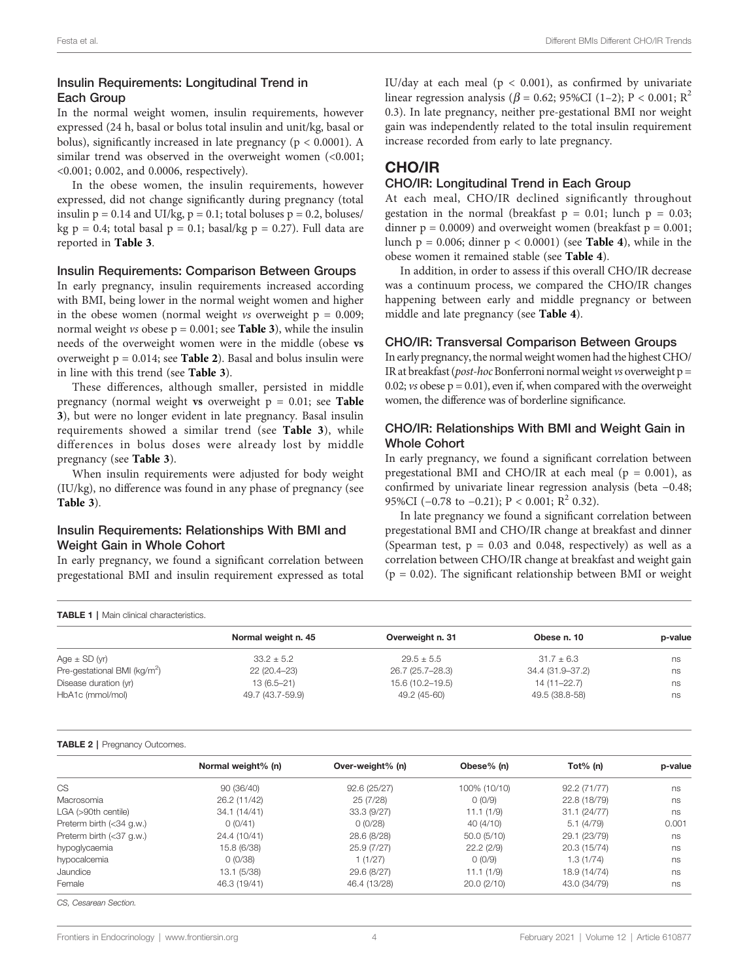#### <span id="page-3-0"></span>Insulin Requirements: Longitudinal Trend in Each Group

In the normal weight women, insulin requirements, however expressed (24 h, basal or bolus total insulin and unit/kg, basal or bolus), significantly increased in late pregnancy ( $p < 0.0001$ ). A similar trend was observed in the overweight women  $(<0.001$ ; <0.001; 0.002, and 0.0006, respectively).

In the obese women, the insulin requirements, however expressed, did not change significantly during pregnancy (total insulin  $p = 0.14$  and UI/kg,  $p = 0.1$ ; total boluses  $p = 0.2$ , boluses/ kg  $p = 0.4$ ; total basal  $p = 0.1$ ; basal/kg  $p = 0.27$ ). Full data are reported in [Table 3](#page-4-0).

#### Insulin Requirements: Comparison Between Groups

In early pregnancy, insulin requirements increased according with BMI, being lower in the normal weight women and higher in the obese women (normal weight  $v_s$  overweight  $p = 0.009$ ; normal weight *vs* obese  $p = 0.001$ ; see **[Table 3](#page-4-0)**), while the insulin needs of the overweight women were in the middle (obese vs overweight  $p = 0.014$ ; see Table 2). Basal and bolus insulin were in line with this trend (see [Table 3](#page-4-0)).

These differences, although smaller, persisted in middle pregnancy (normal weight vs overweight  $p = 0.01$ ; see [Table](#page-4-0) [3](#page-4-0)), but were no longer evident in late pregnancy. Basal insulin requirements showed a similar trend (see [Table 3](#page-4-0)), while differences in bolus doses were already lost by middle pregnancy (see [Table 3](#page-4-0)).

When insulin requirements were adjusted for body weight (IU/kg), no difference was found in any phase of pregnancy (see [Table 3](#page-4-0)).

#### Insulin Requirements: Relationships With BMI and Weight Gain in Whole Cohort

In early pregnancy, we found a significant correlation between pregestational BMI and insulin requirement expressed as total IU/day at each meal ( $p < 0.001$ ), as confirmed by univariate linear regression analysis ( $\beta$  = 0.62; 95%CI (1–2); P < 0.001; R<sup>2</sup> 0.3). In late pregnancy, neither pre-gestational BMI nor weight gain was independently related to the total insulin requirement increase recorded from early to late pregnancy.

# CHO/IR

#### CHO/IR: Longitudinal Trend in Each Group

At each meal, CHO/IR declined significantly throughout gestation in the normal (breakfast  $p = 0.01$ ; lunch  $p = 0.03$ ; dinner  $p = 0.0009$ ) and overweight women (breakfast  $p = 0.001$ ; lunch  $p = 0.006$ ; dinner  $p < 0.0001$ ) (see **[Table 4](#page-5-0)**), while in the obese women it remained stable (see [Table 4](#page-5-0)).

In addition, in order to assess if this overall CHO/IR decrease was a continuum process, we compared the CHO/IR changes happening between early and middle pregnancy or between middle and late pregnancy (see [Table 4](#page-5-0)).

#### CHO/IR: Transversal Comparison Between Groups

In early pregnancy, the normal weight women had the highest CHO/ IR at breakfast (*post-hoc* Bonferroni normal weight  $v$ s overweight  $p =$ 0.02;  $vs$  obese  $p = 0.01$ ), even if, when compared with the overweight women, the difference was of borderline significance.

#### CHO/IR: Relationships With BMI and Weight Gain in Whole Cohort

In early pregnancy, we found a significant correlation between pregestational BMI and CHO/IR at each meal ( $p = 0.001$ ), as confirmed by univariate linear regression analysis (beta −0.48; 95%CI ( $-0.78$  to  $-0.21$ ); P < 0.001; R<sup>2</sup> 0.32).

In late pregnancy we found a significant correlation between pregestational BMI and CHO/IR change at breakfast and dinner (Spearman test,  $p = 0.03$  and 0.048, respectively) as well as a correlation between CHO/IR change at breakfast and weight gain  $(p = 0.02)$ . The significant relationship between BMI or weight

| <b>TABLE 1</b>   Main clinical characteristics. |                     |                  |                  |         |  |  |  |  |
|-------------------------------------------------|---------------------|------------------|------------------|---------|--|--|--|--|
|                                                 | Normal weight n. 45 | Overweight n. 31 | Obese n. 10      | p-value |  |  |  |  |
| Age $\pm$ SD (yr)                               | $33.2 + 5.2$        | $29.5 + 5.5$     | $31.7 + 6.3$     | ns      |  |  |  |  |
| Pre-gestational BMI (kg/m <sup>2</sup> )        | 22 (20.4-23)        | 26.7 (25.7-28.3) | 34.4 (31.9-37.2) | ns      |  |  |  |  |
| Disease duration (yr)                           | $13(6.5 - 21)$      | 15.6 (10.2-19.5) | 14 (11-22.7)     | ns      |  |  |  |  |
| HbA1c (mmol/mol)                                | 49.7 (43.7-59.9)    | 49.2 (45-60)     | 49.5 (38.8-58)   | ns      |  |  |  |  |

#### TABLE 2 | Pregnancy Outcomes.

|                          | Normal weight% (n) | Over-weight% (n) | Obese% (n)   | Tot $%$ (n)  | p-value |
|--------------------------|--------------------|------------------|--------------|--------------|---------|
| <b>CS</b>                | 90 (36/40)         | 92.6(25/27)      | 100% (10/10) | 92.2 (71/77) | ns      |
| Macrosomia               | 26.2 (11/42)       | 25 (7/28)        | 0(0/9)       | 22.8 (18/79) | ns      |
| LGA (>90th centile)      | 34.1 (14/41)       | 33.3(9/27)       | 11.1(1/9)    | 31.1 (24/77) | ns      |
| Preterm birth (<34 g.w.) | 0(0/41)            | 0(0/28)          | 40 (4/10)    | 5.1(4/79)    | 0.001   |
| Preterm birth (<37 g.w.) | 24.4 (10/41)       | 28.6 (8/28)      | 50.0(5/10)   | 29.1 (23/79) | ns      |
| hypoglycaemia            | 15.8 (6/38)        | 25.9 (7/27)      | 22.2(2/9)    | 20.3 (15/74) | ns      |
| hypocalcemia             | 0(0/38)            | 1(1/27)          | 0(0/9)       | 1.3(1/74)    | ns      |
| Jaundice                 | 13.1 (5/38)        | 29.6 (8/27)      | 11.1(1/9)    | 18.9 (14/74) | ns      |
| Female                   | 46.3 (19/41)       | 46.4 (13/28)     | 20.0(2/10)   | 43.0 (34/79) | ns      |

CS, Cesarean Section.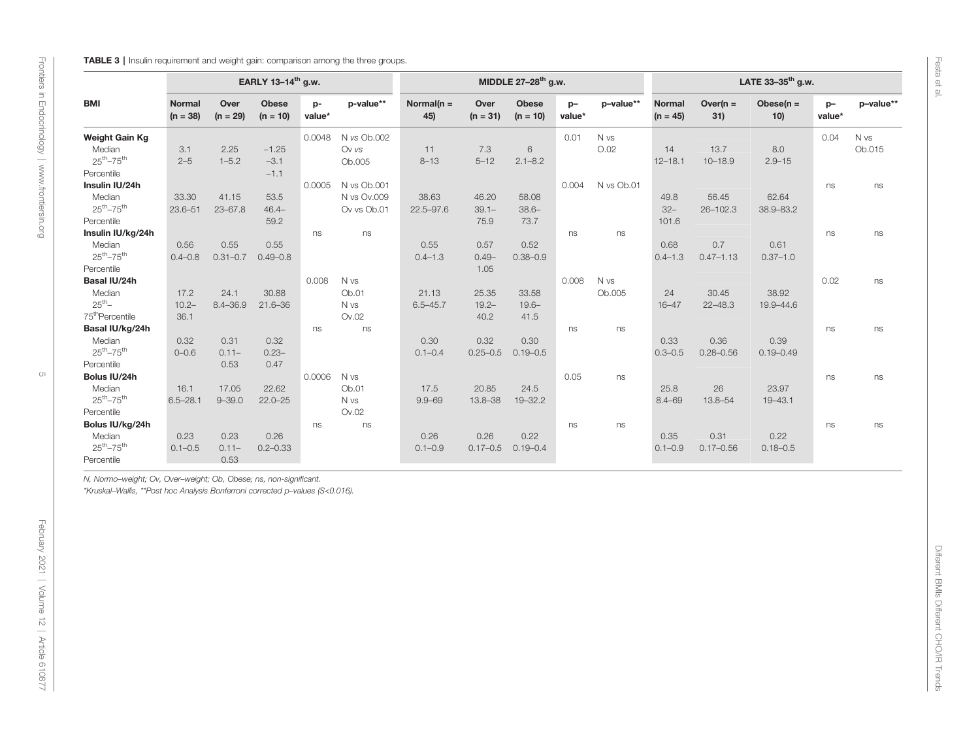<span id="page-4-0"></span>**TABLE 3** | Insulin requirement and weight gain: comparison among the three groups.

|                             |                             |                    | EARLY 13-14 <sup>th</sup> g.w. |              |             |                      |                    | MIDDLE 27-28 <sup>th</sup> g.w. |                |            |                             |                    | LATE 33-35 <sup>th</sup> g.w. |                |           |
|-----------------------------|-----------------------------|--------------------|--------------------------------|--------------|-------------|----------------------|--------------------|---------------------------------|----------------|------------|-----------------------------|--------------------|-------------------------------|----------------|-----------|
| <b>BMI</b>                  | <b>Normal</b><br>$(n = 38)$ | Over<br>$(n = 29)$ | <b>Obese</b><br>$(n = 10)$     | p-<br>value* | p-value**   | Normal( $n =$<br>45) | Over<br>$(n = 31)$ | <b>Obese</b><br>$(n = 10)$      | $p-$<br>value* | p-value**  | <b>Normal</b><br>$(n = 45)$ | Over( $n =$<br>31) | Obese $(n =$<br>10)           | $p-$<br>value* | p-value** |
| <b>Weight Gain Kg</b>       |                             |                    |                                | 0.0048       | N vs Ob.002 |                      |                    |                                 | 0.01           | N vs       |                             |                    |                               | 0.04           | N vs      |
| Median                      | 3.1                         | 2.25               | $-1.25$                        |              | Ov vs       | 11                   | 7.3                | 6                               |                | O.02       | 14                          | 13.7               | 8.0                           |                | Ob.015    |
| $25^{th} - 75^{th}$         | $2 - 5$                     | $1 - 5.2$          | $-3.1$                         |              | Ob.005      | $8 - 13$             | $5 - 12$           | $2.1 - 8.2$                     |                |            | $12 - 18.1$                 | $10 - 18.9$        | $2.9 - 15$                    |                |           |
| Percentile                  |                             |                    | $-1.1$                         |              |             |                      |                    |                                 |                |            |                             |                    |                               |                |           |
| Insulin IU/24h              |                             |                    |                                | 0.0005       | N vs Ob.001 |                      |                    |                                 | 0.004          | N vs Ob.01 |                             |                    |                               | ns             | ns        |
| Median                      | 33.30                       | 41.15              | 53.5                           |              | N vs Ov.009 | 38.63                | 46.20              | 58.08                           |                |            | 49.8                        | 56.45              | 62.64                         |                |           |
| $25^{th} - 75^{th}$         | $23.6 - 51$                 | $23 - 67.8$        | $46.4 -$                       |              | Ov vs Ob.01 | $22.5 - 97.6$        | $39.1 -$           | $38.6 -$                        |                |            | $32-$                       | $26 - 102.3$       | 38.9-83.2                     |                |           |
| Percentile                  |                             |                    | 59.2                           |              |             |                      | 75.9               | 73.7                            |                |            | 101.6                       |                    |                               |                |           |
| Insulin IU/kg/24h           |                             |                    |                                | ns           | ns          |                      |                    |                                 | ns             | ns         |                             |                    |                               | ns             | ns        |
| Median                      | 0.56                        | 0.55               | 0.55                           |              |             | 0.55                 | 0.57               | 0.52                            |                |            | 0.68                        | 0.7                | 0.61                          |                |           |
| $25^{th} - 75^{th}$         | $0.4 - 0.8$                 | $0.31 - 0.7$       | $0.49 - 0.8$                   |              |             | $0.4 - 1.3$          | $0.49 -$           | $0.38 - 0.9$                    |                |            | $0.4 - 1.3$                 | $0.47 - 1.13$      | $0.37 - 1.0$                  |                |           |
| Percentile                  |                             |                    |                                |              |             |                      | 1.05               |                                 |                |            |                             |                    |                               |                |           |
| Basal IU/24h                |                             |                    |                                | 0.008        | N vs        |                      |                    |                                 | 0.008          | N vs       |                             |                    |                               | 0.02           | ns        |
| Median                      | 17.2                        | 24.1               | 30.88                          |              | Ob.01       | 21.13                | 25.35              | 33.58                           |                | Ob.005     | 24                          | 30.45              | 38.92                         |                |           |
| $25^{th}$ -                 | $10.2 -$                    | $8.4 - 36.9$       | $21.6 - 36$                    |              | N vs        | $6.5 - 45.7$         | $19.2 -$           | $19.6 -$                        |                |            | $16 - 47$                   | $22 - 48.3$        | 19.9-44.6                     |                |           |
| 75 <sup>th</sup> Percentile | 36.1                        |                    |                                |              | Ov.02       |                      | 40.2               | 41.5                            |                |            |                             |                    |                               |                |           |
| Basal IU/kg/24h             |                             |                    |                                | ns           | ns          |                      |                    |                                 | ns             | ns         |                             |                    |                               | ns             | ns        |
| Median                      | 0.32                        | 0.31               | 0.32                           |              |             | 0.30                 | 0.32               | 0.30                            |                |            | 0.33                        | 0.36               | 0.39                          |                |           |
| $25^{th} - 75^{th}$         | $0 - 0.6$                   | $0.11 -$           | $0.23 -$                       |              |             | $0.1 - 0.4$          | $0.25 - 0.5$       | $0.19 - 0.5$                    |                |            | $0.3 - 0.5$                 | $0.28 - 0.56$      | $0.19 - 0.49$                 |                |           |
| Percentile                  |                             | 0.53               | 0.47                           |              |             |                      |                    |                                 |                |            |                             |                    |                               |                |           |
| Bolus IU/24h                |                             |                    |                                | 0.0006       | N vs        |                      |                    |                                 | 0.05           | ns         |                             |                    |                               | ns             | ns        |
| Median                      | 16.1                        | 17.05              | 22.62                          |              | Ob.01       | 17.5                 | 20.85              | 24.5                            |                |            | 25.8                        | 26                 | 23.97                         |                |           |
| $25^{th} - 75^{th}$         | $6.5 - 28.1$                | $9 - 39.0$         | $22.0 - 25$                    |              | N vs        | $9.9 - 69$           | 13.8-38            | $19 - 32.2$                     |                |            | $8.4 - 69$                  | 13.8-54            | $19 - 43.1$                   |                |           |
| Percentile                  |                             |                    |                                |              | Ov.02       |                      |                    |                                 |                |            |                             |                    |                               |                |           |
| Bolus IU/kg/24h             |                             |                    |                                | ns           | ns          |                      |                    |                                 | ns             | ns         |                             |                    |                               | ns             | ns        |
| Median                      | 0.23                        | 0.23               | 0.26                           |              |             | 0.26                 | 0.26               | 0.22                            |                |            | 0.35                        | 0.31               | 0.22                          |                |           |
| $25^{th} - 75^{th}$         | $0.1 - 0.5$                 | $0.11 -$           | $0.2 - 0.33$                   |              |             | $0.1 - 0.9$          | $0.17 - 0.5$       | $0.19 - 0.4$                    |                |            | $0.1 - 0.9$                 | $0.17 - 0.56$      | $0.18 - 0.5$                  |                |           |
| Percentile                  |                             | 0.53               |                                |              |             |                      |                    |                                 |                |            |                             |                    |                               |                |           |

N, Normo–weight; Ov, Over–weight; Ob, Obese; ns, non-significant.

\*Kruskal–Wallis, \*\*Post hoc Analysis Bonferroni corrected p–values (S<0.016).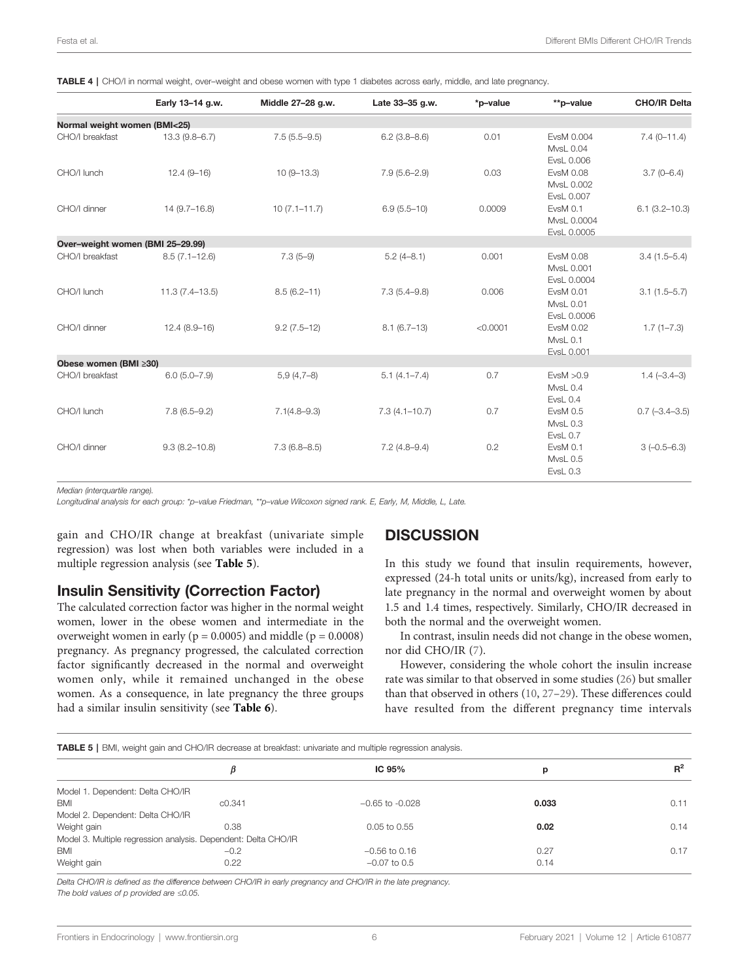|                                  | Early 13-14 g.w.   | Middle 27-28 g.w. | Late 33-35 g.w.   | *p-value | **p-value                              | <b>CHO/IR Delta</b> |
|----------------------------------|--------------------|-------------------|-------------------|----------|----------------------------------------|---------------------|
| Normal weight women (BMI<25)     |                    |                   |                   |          |                                        |                     |
| CHO/I breakfast                  | $13.3(9.8 - 6.7)$  | $7.5(5.5-9.5)$    | $6.2(3.8-8.6)$    | 0.01     | EvsM 0.004<br>MvsL 0.04<br>EvsL 0.006  | $7.4(0-11.4)$       |
| CHO/I lunch                      | $12.4(9 - 16)$     | $10(9 - 13.3)$    | $7.9(5.6-2.9)$    | 0.03     | EvsM 0.08<br>MvsL 0.002<br>EvsL 0.007  | $3.7(0-6.4)$        |
| CHO/I dinner                     | $14(9.7-16.8)$     | $10(7.1 - 11.7)$  | $6.9(5.5-10)$     | 0.0009   | EvsM 0.1<br>MvsL 0.0004<br>EvsL 0.0005 | $6.1(3.2 - 10.3)$   |
| Over-weight women (BMI 25-29.99) |                    |                   |                   |          |                                        |                     |
| CHO/I breakfast                  | $8.5(7.1 - 12.6)$  | $7.3(5-9)$        | $5.2(4-8.1)$      | 0.001    | EvsM 0.08<br>MvsL 0.001<br>EvsL 0.0004 | $3.4(1.5 - 5.4)$    |
| CHO/I lunch                      | $11.3(7.4 - 13.5)$ | $8.5(6.2 - 11)$   | $7.3(5.4 - 9.8)$  | 0.006    | EvsM 0.01<br>MvsL 0.01<br>EvsL 0.0006  | $3.1(1.5 - 5.7)$    |
| CHO/I dinner                     | $12.4(8.9-16)$     | $9.2(7.5-12)$     | $8.1(6.7-13)$     | < 0.0001 | EvsM 0.02<br>MvsL 0.1<br>EvsL 0.001    | $1.7(1 - 7.3)$      |
| Obese women (BMI ≥30)            |                    |                   |                   |          |                                        |                     |
| CHO/I breakfast                  | $6.0(5.0 - 7.9)$   | $5,9(4,7-8)$      | $5.1(4.1 - 7.4)$  | 0.7      | EvsM > 0.9<br>MvsL 0.4<br>EvsL 0.4     | $1.4 (-3.4 - 3)$    |
| CHO/I lunch                      | $7.8(6.5 - 9.2)$   | $7.1(4.8 - 9.3)$  | $7.3(4.1 - 10.7)$ | 0.7      | EvsM 0.5<br>MvsL 0.3<br>EvsL 0.7       | $0.7 (-3.4 - 3.5)$  |
| CHO/I dinner                     | $9.3(8.2 - 10.8)$  | $7.3(6.8 - 8.5)$  | $7.2(4.8 - 9.4)$  | 0.2      | EvsM 0.1<br>MvsL 0.5<br>EvsL 0.3       | $3(-0.5-6.3)$       |

<span id="page-5-0"></span>TABLE 4 | CHO/I in normal weight, over–weight and obese women with type 1 diabetes across early, middle, and late pregnancy.

Median (interquartile range).

Longitudinal analysis for each group: \*p–value Friedman, \*\*p–value Wilcoxon signed rank. E, Early, M, Middle, L, Late.

gain and CHO/IR change at breakfast (univariate simple regression) was lost when both variables were included in a multiple regression analysis (see Table 5).

## Insulin Sensitivity (Correction Factor)

The calculated correction factor was higher in the normal weight women, lower in the obese women and intermediate in the overweight women in early ( $p = 0.0005$ ) and middle ( $p = 0.0008$ ) pregnancy. As pregnancy progressed, the calculated correction factor significantly decreased in the normal and overweight women only, while it remained unchanged in the obese women. As a consequence, in late pregnancy the three groups had a similar insulin sensitivity (see [Table 6](#page-6-0)).

# **DISCUSSION**

In this study we found that insulin requirements, however, expressed (24-h total units or units/kg), increased from early to late pregnancy in the normal and overweight women by about 1.5 and 1.4 times, respectively. Similarly, CHO/IR decreased in both the normal and the overweight women.

In contrast, insulin needs did not change in the obese women, nor did CHO/IR [\(7\)](#page-7-0).

However, considering the whole cohort the insulin increase rate was similar to that observed in some studies [\(26](#page-8-0)) but smaller than that observed in others ([10,](#page-7-0) [27](#page-8-0)–[29](#page-8-0)). These differences could have resulted from the different pregnancy time intervals

TABLE 5 | BMI, weight gain and CHO/IR decrease at breakfast: univariate and multiple regression analysis.

|                                  |                                                                | IC $95%$            | р     | $R^2$ |
|----------------------------------|----------------------------------------------------------------|---------------------|-------|-------|
| Model 1. Dependent: Delta CHO/IR |                                                                |                     |       |       |
| <b>BMI</b>                       | C <sub>0.341</sub>                                             | $-0.65$ to $-0.028$ | 0.033 | 0.11  |
| Model 2. Dependent: Delta CHO/IR |                                                                |                     |       |       |
| Weight gain                      | 0.38                                                           | $0.05$ to $0.55$    | 0.02  | 0.14  |
|                                  | Model 3. Multiple regression analysis. Dependent: Delta CHO/IR |                     |       |       |
| <b>BMI</b>                       | $-0.2$                                                         | $-0.56$ to 0.16     | 0.27  | 0.17  |
| Weight gain                      | 0.22                                                           | $-0.07$ to 0.5      | 0.14  |       |

Delta CHO/IR is defined as the difference between CHO/IR in early pregnancy and CHO/IR in the late pregnancy. The bold values of p provided are ≤0.05.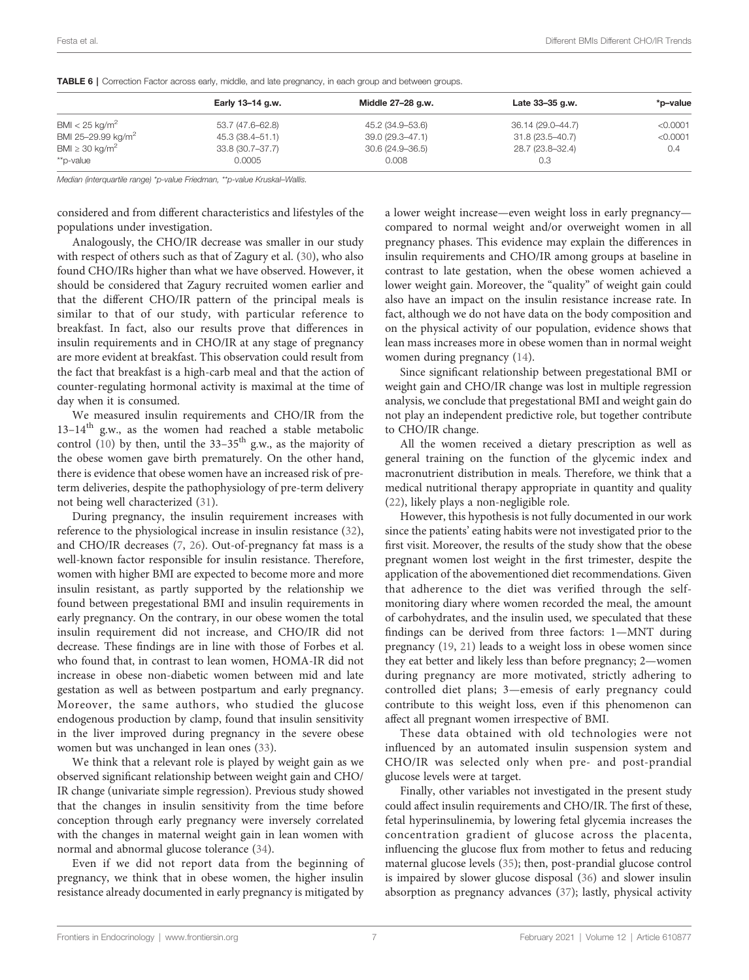|                                 | Early 13-14 g.w. | Middle 27–28 g.w.   | Late 33-35 g.w.   | *p-value |  |  |
|---------------------------------|------------------|---------------------|-------------------|----------|--|--|
| BMI $<$ 25 kg/m <sup>2</sup>    | 53.7 (47.6–62.8) | 45.2 (34.9–53.6)    | 36.14 (29.0–44.7) | < 0.0001 |  |  |
| BMI 25-29.99 kg/m <sup>2</sup>  | 45.3 (38.4–51.1) | 39.0 (29.3–47.1)    | 31.8 (23.5–40.7)  | < 0.0001 |  |  |
| BMI $\geq$ 30 kg/m <sup>2</sup> | 33.8 (30.7-37.7) | $30.6(24.9 - 36.5)$ | 28.7 (23.8-32.4)  | 0.4      |  |  |
| **p-value                       | 0.0005           | 0.008               | 0.3               |          |  |  |

<span id="page-6-0"></span>TABLE 6 | Correction Factor across early, middle, and late pregnancy, in each group and between groups.

Median (interquartile range) \*p-value Friedman, \*\*p-value Kruskal–Wallis.

considered and from different characteristics and lifestyles of the populations under investigation.

Analogously, the CHO/IR decrease was smaller in our study with respect of others such as that of Zagury et al. ([30](#page-8-0)), who also found CHO/IRs higher than what we have observed. However, it should be considered that Zagury recruited women earlier and that the different CHO/IR pattern of the principal meals is similar to that of our study, with particular reference to breakfast. In fact, also our results prove that differences in insulin requirements and in CHO/IR at any stage of pregnancy are more evident at breakfast. This observation could result from the fact that breakfast is a high-carb meal and that the action of counter-regulating hormonal activity is maximal at the time of day when it is consumed.

We measured insulin requirements and CHO/IR from the  $13-14$ <sup>th</sup> g.w., as the women had reached a stable metabolic control [\(10](#page-7-0)) by then, until the  $33-35$ <sup>th</sup> g.w., as the majority of the obese women gave birth prematurely. On the other hand, there is evidence that obese women have an increased risk of preterm deliveries, despite the pathophysiology of pre-term delivery not being well characterized ([31](#page-8-0)).

During pregnancy, the insulin requirement increases with reference to the physiological increase in insulin resistance ([32\)](#page-8-0), and CHO/IR decreases ([7](#page-7-0), [26\)](#page-8-0). Out-of-pregnancy fat mass is a well-known factor responsible for insulin resistance. Therefore, women with higher BMI are expected to become more and more insulin resistant, as partly supported by the relationship we found between pregestational BMI and insulin requirements in early pregnancy. On the contrary, in our obese women the total insulin requirement did not increase, and CHO/IR did not decrease. These findings are in line with those of Forbes et al. who found that, in contrast to lean women, HOMA-IR did not increase in obese non-diabetic women between mid and late gestation as well as between postpartum and early pregnancy. Moreover, the same authors, who studied the glucose endogenous production by clamp, found that insulin sensitivity in the liver improved during pregnancy in the severe obese women but was unchanged in lean ones [\(33\)](#page-8-0).

We think that a relevant role is played by weight gain as we observed significant relationship between weight gain and CHO/ IR change (univariate simple regression). Previous study showed that the changes in insulin sensitivity from the time before conception through early pregnancy were inversely correlated with the changes in maternal weight gain in lean women with normal and abnormal glucose tolerance ([34\)](#page-8-0).

Even if we did not report data from the beginning of pregnancy, we think that in obese women, the higher insulin resistance already documented in early pregnancy is mitigated by

a lower weight increase—even weight loss in early pregnancy compared to normal weight and/or overweight women in all pregnancy phases. This evidence may explain the differences in insulin requirements and CHO/IR among groups at baseline in contrast to late gestation, when the obese women achieved a lower weight gain. Moreover, the "quality" of weight gain could also have an impact on the insulin resistance increase rate. In fact, although we do not have data on the body composition and on the physical activity of our population, evidence shows that lean mass increases more in obese women than in normal weight women during pregnancy ([14\)](#page-7-0).

Since significant relationship between pregestational BMI or weight gain and CHO/IR change was lost in multiple regression analysis, we conclude that pregestational BMI and weight gain do not play an independent predictive role, but together contribute to CHO/IR change.

All the women received a dietary prescription as well as general training on the function of the glycemic index and macronutrient distribution in meals. Therefore, we think that a medical nutritional therapy appropriate in quantity and quality [\(22\)](#page-8-0), likely plays a non-negligible role.

However, this hypothesis is not fully documented in our work since the patients' eating habits were not investigated prior to the first visit. Moreover, the results of the study show that the obese pregnant women lost weight in the first trimester, despite the application of the abovementioned diet recommendations. Given that adherence to the diet was verified through the selfmonitoring diary where women recorded the meal, the amount of carbohydrates, and the insulin used, we speculated that these findings can be derived from three factors: 1—MNT during pregnancy ([19,](#page-8-0) [21](#page-8-0)) leads to a weight loss in obese women since they eat better and likely less than before pregnancy; 2—women during pregnancy are more motivated, strictly adhering to controlled diet plans; 3—emesis of early pregnancy could contribute to this weight loss, even if this phenomenon can affect all pregnant women irrespective of BMI.

These data obtained with old technologies were not influenced by an automated insulin suspension system and CHO/IR was selected only when pre- and post-prandial glucose levels were at target.

Finally, other variables not investigated in the present study could affect insulin requirements and CHO/IR. The first of these, fetal hyperinsulinemia, by lowering fetal glycemia increases the concentration gradient of glucose across the placenta, influencing the glucose flux from mother to fetus and reducing maternal glucose levels ([35\)](#page-8-0); then, post-prandial glucose control is impaired by slower glucose disposal [\(36](#page-8-0)) and slower insulin absorption as pregnancy advances [\(37](#page-8-0)); lastly, physical activity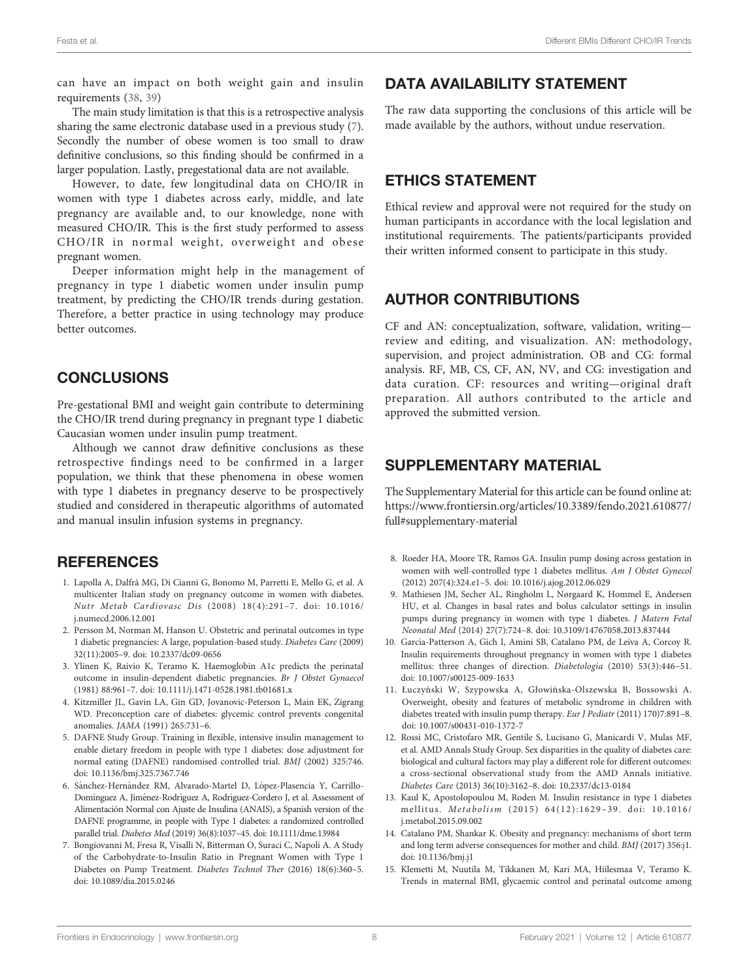<span id="page-7-0"></span>can have an impact on both weight gain and insulin requirements ([38,](#page-8-0) [39\)](#page-8-0)

The main study limitation is that this is a retrospective analysis sharing the same electronic database used in a previous study (7). Secondly the number of obese women is too small to draw definitive conclusions, so this finding should be confirmed in a larger population. Lastly, pregestational data are not available.

However, to date, few longitudinal data on CHO/IR in women with type 1 diabetes across early, middle, and late pregnancy are available and, to our knowledge, none with measured CHO/IR. This is the first study performed to assess CHO/IR in normal weight, overweight and obese pregnant women.

Deeper information might help in the management of pregnancy in type 1 diabetic women under insulin pump treatment, by predicting the CHO/IR trends during gestation. Therefore, a better practice in using technology may produce better outcomes.

## **CONCLUSIONS**

Pre-gestational BMI and weight gain contribute to determining the CHO/IR trend during pregnancy in pregnant type 1 diabetic Caucasian women under insulin pump treatment.

Although we cannot draw definitive conclusions as these retrospective findings need to be confirmed in a larger population, we think that these phenomena in obese women with type 1 diabetes in pregnancy deserve to be prospectively studied and considered in therapeutic algorithms of automated and manual insulin infusion systems in pregnancy.

## **REFERENCES**

- 1. Lapolla A, Dalfrà MG, Di Cianni G, Bonomo M, Parretti E, Mello G, et al. A multicenter Italian study on pregnancy outcome in women with diabetes. Nutr Metab Cardiovasc Dis (2008) 18(4):291–7. doi: [10.1016/](https://doi.org/10.1016/j.numecd.2006.12.001) [j.numecd.2006.12.001](https://doi.org/10.1016/j.numecd.2006.12.001)
- 2. Persson M, Norman M, Hanson U. Obstetric and perinatal outcomes in type 1 diabetic pregnancies: A large, population-based study. Diabetes Care (2009) 32(11):2005–9. doi: [10.2337/dc09-0656](https://doi.org/10.2337/dc09-0656)
- 3. Ylinen K, Raivio K, Teramo K. Haemoglobin A1c predicts the perinatal outcome in insulin-dependent diabetic pregnancies. Br J Obstet Gynaecol (1981) 88:961–7. doi: [10.1111/j.1471-0528.1981.tb01681.x](https://doi.org/10.1111/j.1471-0528.1981.tb01681.x)
- 4. Kitzmiller JL, Gavin LA, Gin GD, Jovanovic-Peterson L, Main EK, Zigrang WD. Preconception care of diabetes: glycemic control prevents congenital anomalies. JAMA (1991) 265:731–6.
- 5. DAFNE Study Group. Training in flexible, intensive insulin management to enable dietary freedom in people with type 1 diabetes: dose adjustment for normal eating (DAFNE) randomised controlled trial. BMJ (2002) 325:746. doi: [10.1136/bmj.325.7367.746](https://doi.org/10.1136/bmj.325.7367.746)
- 6. Sánchez-Hernández RM, Alvarado-Martel D, López-Plasencia Y, Carrillo-Domínguez A, Jiménez-Rodríguez A, Rodríguez-Cordero J, et al. Assessment of Alimentación Normal con Ajuste de Insulina (ANAIS), a Spanish version of the DAFNE programme, in people with Type 1 diabetes: a randomized controlled parallel trial. Diabetes Med (2019) 36(8):1037–45. doi: [10.1111/dme.13984](https://doi.org/10.1111/dme.13984)
- 7. Bongiovanni M, Fresa R, Visalli N, Bitterman O, Suraci C, Napoli A. A Study of the Carbohydrate-to-Insulin Ratio in Pregnant Women with Type 1 Diabetes on Pump Treatment. Diabetes Technol Ther (2016) 18(6):360–5. doi: [10.1089/dia.2015.0246](https://doi.org/10.1089/dia.2015.0246)

# DATA AVAILABILITY STATEMENT

The raw data supporting the conclusions of this article will be made available by the authors, without undue reservation.

## ETHICS STATEMENT

Ethical review and approval were not required for the study on human participants in accordance with the local legislation and institutional requirements. The patients/participants provided their written informed consent to participate in this study.

## AUTHOR CONTRIBUTIONS

CF and AN: conceptualization, software, validation, writing review and editing, and visualization. AN: methodology, supervision, and project administration. OB and CG: formal analysis. RF, MB, CS, CF, AN, NV, and CG: investigation and data curation. CF: resources and writing—original draft preparation. All authors contributed to the article and approved the submitted version.

## SUPPLEMENTARY MATERIAL

The Supplementary Material for this article can be found online at: [https://www.frontiersin.org/articles/10.3389/fendo.2021.610877/](https://www.frontiersin.org/articles/10.3389/fendo.2021.610877/full#supplementary-material) [full#supplementary-material](https://www.frontiersin.org/articles/10.3389/fendo.2021.610877/full#supplementary-material)

- 8. Roeder HA, Moore TR, Ramos GA. Insulin pump dosing across gestation in women with well-controlled type 1 diabetes mellitus. Am J Obstet Gynecol (2012) 207(4):324.e1–5. doi: [10.1016/j.ajog.2012.06.029](https://doi.org/10.1016/j.ajog.2012.06.029)
- 9. Mathiesen JM, Secher AL, Ringholm L, Nørgaard K, Hommel E, Andersen HU, et al. Changes in basal rates and bolus calculator settings in insulin pumps during pregnancy in women with type 1 diabetes. J Matern Fetal Neonatal Med (2014) 27(7):724–8. doi: [10.3109/14767058.2013.837444](https://doi.org/10.3109/14767058.2013.837444)
- 10. García-Patterson A, Gich I, Amini SB, Catalano PM, de Leiva A, Corcoy R. Insulin requirements throughout pregnancy in women with type 1 diabetes mellitus: three changes of direction. Diabetologia (2010) 53(3):446–51. doi: [10.1007/s00125-009-1633](https://doi.org/10.1007/s00125-009-1633)
- 11. Łuczyński W, Szypowska A, Głowińska-Olszewska B, Bossowski A. Overweight, obesity and features of metabolic syndrome in children with diabetes treated with insulin pump therapy. Eur J Pediatr (2011) 170)7:891–8. doi: [10.1007/s00431-010-1372-7](https://doi.org/10.1007/s00431-010-1372-7)
- 12. Rossi MC, Cristofaro MR, Gentile S, Lucisano G, Manicardi V, Mulas MF, et al. AMD Annals Study Group. Sex disparities in the quality of diabetes care: biological and cultural factors may play a different role for different outcomes: a cross-sectional observational study from the AMD Annals initiative. Diabetes Care (2013) 36(10):3162–8. doi: [10.2337/dc13-0184](https://doi.org/10.2337/dc13-0184)
- 13. Kaul K, Apostolopoulou M, Roden M. Insulin resistance in type 1 diabetes mellitus. Metabolism (2015) 64(12):1629–39. doi: [10.1016/](https://doi.org/10.1016/j.metabol.2015.09.002) [j.metabol.2015.09.002](https://doi.org/10.1016/j.metabol.2015.09.002)
- 14. Catalano PM, Shankar K. Obesity and pregnancy: mechanisms of short term and long term adverse consequences for mother and child. BMJ (2017) 356:j1. doi: [10.1136/bmj.j1](https://doi.org/10.1136/bmj.j1)
- 15. Klemetti M, Nuutila M, Tikkanen M, Kari MA, Hiilesmaa V, Teramo K. Trends in maternal BMI, glycaemic control and perinatal outcome among